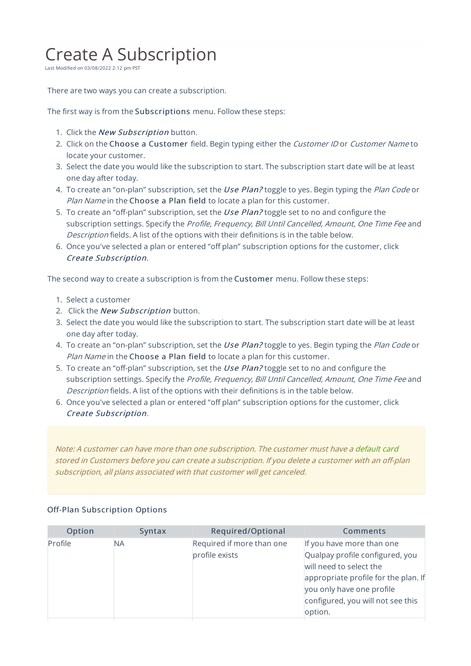## Create A Subscription

Last Modified on 03/08/2022 2:12 pm PST

There are two ways you can create a subscription.

The first way is from the Subscriptions menu. Follow these steps:

- 1. Click the New Subscription button.
- 2. Click on the Choose a Customer field. Begin typing either the Customer ID or Customer Name to locate your customer.
- 3. Select the date you would like the subscription to start. The subscription start date will be at least one day after today.
- 4. To create an "on-plan" subscription, set the Use Plan? toggle to yes. Begin typing the Plan Code or Plan Name in the Choose a Plan field to locate a plan for this customer.
- 5. To create an "off-plan" subscription, set the Use Plan? toggle set to no and configure the subscription settings. Specify the Profile, Frequency, Bill Until Cancelled, Amount, One Time Fee and Description fields. A list of the options with their definitions is in the table below.
- 6. Once you've selected a plan or entered "off plan" subscription options for the customer, click Create Subscription.

The second way to create a subscription is from the Customer menu. Follow these steps:

- 1. Select a customer
- 2. Click the New Subscription button.
- 3. Select the date you would like the subscription to start. The subscription start date will be at least one day after today.
- 4. To create an "on-plan" subscription, set the Use Plan? toggle to yes. Begin typing the Plan Code or Plan Name in the Choose a Plan field to locate a plan for this customer.
- 5. To create an "off-plan" subscription, set the Use Plan? toggle set to no and configure the subscription settings. Specify the Profile, Frequency, Bill Until Cancelled, Amount, One Time Fee and Description fields. A list of the options with their definitions is in the table below.
- 6. Once you've selected a plan or entered "off plan" subscription options for the customer, click Create Subscription.

Note: A customer can have more than one subscription. The customer must have <sup>a</sup> default card stored in Customers before you can create <sup>a</sup> subscription. If you delete <sup>a</sup> customer with an off-plan subscription, all plans associated with that customer will get canceled.

| Option  | Syntax | Required/Optional                           | <b>Comments</b>                                                                                                                                                                                              |
|---------|--------|---------------------------------------------|--------------------------------------------------------------------------------------------------------------------------------------------------------------------------------------------------------------|
| Profile | ΝA     | Required if more than one<br>profile exists | If you have more than one<br>Qualpay profile configured, you<br>will need to select the<br>appropriate profile for the plan. If<br>you only have one profile<br>configured, you will not see this<br>option. |
|         |        |                                             |                                                                                                                                                                                                              |

## Off-Plan Subscription Options